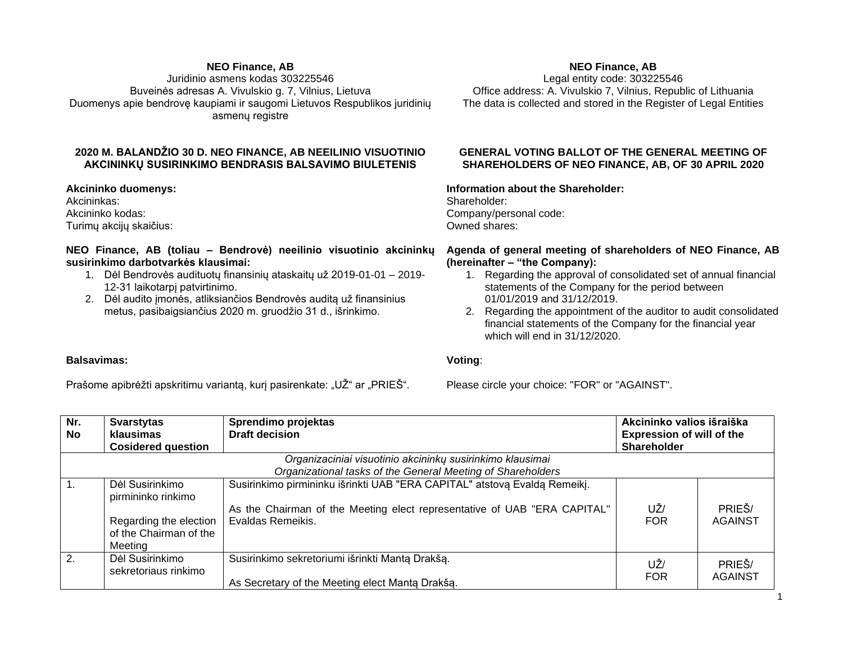### **NEO Finance, AB**

Juridinio asmens kodas 303225546 Buveinės adresas A. Vivulskio g. 7, Vilnius, Lietuva Duomenys apie bendrovę kaupiami ir saugomi Lietuvos Respublikos juridinių asmenų registre

# **2020 M. BALANDŽIO 30 D. NEO FINANCE, AB NEEILINIO VISUOTINIO AKCININKŲ SUSIRINKIMO BENDRASIS BALSAVIMO BIULETENIS**

**Akcininko duomenys:** Akcininkas: Akcininko kodas: Turimų akcijų skaičius:

## **NEO Finance, AB (toliau – Bendrovė) neeilinio visuotinio akcininkų susirinkimo darbotvarkės klausimai:**

- 1. Dėl Bendrovės audituotų finansinių ataskaitų už 2019-01-01 2019- 12-31 laikotarpį patvirtinimo.
- 2. Dėl audito įmonės, atliksiančios Bendrovės auditą už finansinius metus, pasibaigsiančius 2020 m. gruodžio 31 d., išrinkimo.

## **NEO Finance, AB**

Legal entity code: 303225546 Office address: A. Vivulskio 7, Vilnius, Republic of Lithuania The data is collected and stored in the Register of Legal Entities

### **GENERAL VOTING BALLOT OF THE GENERAL MEETING OF SHAREHOLDERS OF NEO FINANCE, AB, OF 30 APRIL 2020**

#### **Information about the Shareholder:**

Shareholder: Company/personal code: Owned shares:

### **Agenda of general meeting of shareholders of NEO Finance, AB (hereinafter – "the Company):**

- 1. Regarding the approval of consolidated set of annual financial statements of the Company for the period between 01/01/2019 and 31/12/2019.
- 2. Regarding the appointment of the auditor to audit consolidated financial statements of the Company for the financial year which will end in 31/12/2020.

#### **Voting**:

Prašome apibrėžti apskritimu variantą, kurį pasirenkate: "UŽ" ar "PRIEŠ".

Please circle your choice: "FOR" or "AGAINST".

| Nr.<br><b>No</b> | <b>Svarstytas</b><br>klausimas<br><b>Cosidered question</b>                                                              | Sprendimo projektas<br><b>Draft decision</b>                                                                                                                               | Akcininko valios išraiška<br><b>Expression of will of the</b><br><b>Shareholder</b> |                   |  |  |  |  |  |  |
|------------------|--------------------------------------------------------------------------------------------------------------------------|----------------------------------------------------------------------------------------------------------------------------------------------------------------------------|-------------------------------------------------------------------------------------|-------------------|--|--|--|--|--|--|
|                  | Organizaciniai visuotinio akcininkų susirinkimo klausimai<br>Organizational tasks of the General Meeting of Shareholders |                                                                                                                                                                            |                                                                                     |                   |  |  |  |  |  |  |
| $\overline{1}$ . | Dėl Susirinkimo<br>pirmininko rinkimo<br>Regarding the election<br>of the Chairman of the<br>Meeting                     | Susirinkimo pirmininku išrinkti UAB "ERA CAPITAL" atstovą Evaldą Remeikį.<br>As the Chairman of the Meeting elect representative of UAB "ERA CAPITAL"<br>Evaldas Remeikis. | UŽ/<br><b>FOR</b>                                                                   | PRIEŠ/<br>AGAINST |  |  |  |  |  |  |
| 2.               | Dėl Susirinkimo<br>sekretoriaus rinkimo                                                                                  | Susirinkimo sekretoriumi išrinkti Mantą Drakšą.<br>As Secretary of the Meeting elect Manta Drakša.                                                                         | UŽ/<br><b>FOR</b>                                                                   | PRIEŠ/<br>AGAINST |  |  |  |  |  |  |

#### **Balsavimas:**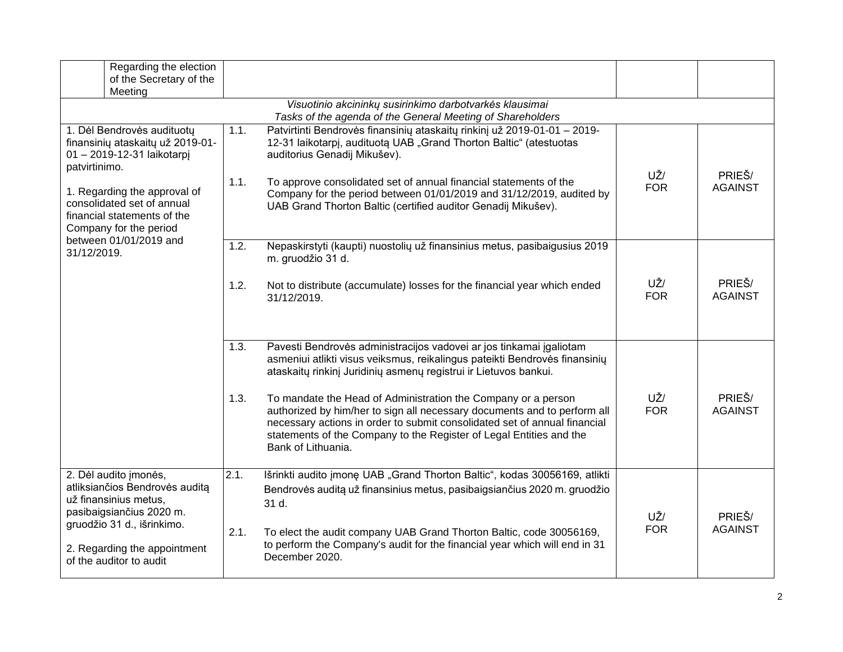| Regarding the election<br>of the Secretary of the<br>Meeting                                                                                                                                                                         |                            |                                                                                                                                                                                                                                                                                                                                                                                                                                                                                                                                              |                   |                          |  |  |  |  |
|--------------------------------------------------------------------------------------------------------------------------------------------------------------------------------------------------------------------------------------|----------------------------|----------------------------------------------------------------------------------------------------------------------------------------------------------------------------------------------------------------------------------------------------------------------------------------------------------------------------------------------------------------------------------------------------------------------------------------------------------------------------------------------------------------------------------------------|-------------------|--------------------------|--|--|--|--|
| Visuotinio akcininkų susirinkimo darbotvarkės klausimai<br>Tasks of the agenda of the General Meeting of Shareholders                                                                                                                |                            |                                                                                                                                                                                                                                                                                                                                                                                                                                                                                                                                              |                   |                          |  |  |  |  |
| 1. Dėl Bendrovės audituotų<br>finansinių ataskaitų už 2019-01-<br>01 - 2019-12-31 laikotarpj<br>patvirtinimo.<br>1. Regarding the approval of<br>consolidated set of annual<br>financial statements of the<br>Company for the period | 1.1.<br>1.1.               | Patvirtinti Bendrovės finansinių ataskaitų rinkinį už 2019-01-01 - 2019-<br>12-31 laikotarpį, audituotą UAB "Grand Thorton Baltic" (atestuotas<br>auditorius Genadij Mikušev).<br>To approve consolidated set of annual financial statements of the<br>Company for the period between 01/01/2019 and 31/12/2019, audited by<br>UAB Grand Thorton Baltic (certified auditor Genadij Mikušev).                                                                                                                                                 | UŽ/<br><b>FOR</b> | PRIEŠ/<br><b>AGAINST</b> |  |  |  |  |
| between 01/01/2019 and<br>31/12/2019.                                                                                                                                                                                                | $\overline{1.2}$ .<br>1.2. | Nepaskirstyti (kaupti) nuostolių už finansinius metus, pasibaigusius 2019<br>m. gruodžio 31 d.<br>Not to distribute (accumulate) losses for the financial year which ended<br>31/12/2019.                                                                                                                                                                                                                                                                                                                                                    | UŽ/<br><b>FOR</b> | PRIEŠ/<br><b>AGAINST</b> |  |  |  |  |
|                                                                                                                                                                                                                                      | 1.3.<br>1.3.               | Pavesti Bendrovės administracijos vadovei ar jos tinkamai įgaliotam<br>asmeniui atlikti visus veiksmus, reikalingus pateikti Bendrovės finansinių<br>ataskaitų rinkinį Juridinių asmenų registrui ir Lietuvos bankui.<br>To mandate the Head of Administration the Company or a person<br>authorized by him/her to sign all necessary documents and to perform all<br>necessary actions in order to submit consolidated set of annual financial<br>statements of the Company to the Register of Legal Entities and the<br>Bank of Lithuania. | UŽ/<br><b>FOR</b> | PRIEŠ/<br><b>AGAINST</b> |  |  |  |  |
| 2. Dėl audito įmonės,<br>atliksiančios Bendrovės auditą<br>už finansinius metus,<br>pasibaigsiančius 2020 m.<br>gruodžio 31 d., išrinkimo.<br>2. Regarding the appointment<br>of the auditor to audit                                | 2.1.<br>2.1.               | Išrinkti audito įmonę UAB "Grand Thorton Baltic", kodas 30056169, atlikti<br>Bendrovės auditą už finansinius metus, pasibaigsiančius 2020 m. gruodžio<br>31 d.<br>To elect the audit company UAB Grand Thorton Baltic, code 30056169,<br>to perform the Company's audit for the financial year which will end in 31<br>December 2020.                                                                                                                                                                                                        | UŽ/<br><b>FOR</b> | PRIEŠ/<br><b>AGAINST</b> |  |  |  |  |